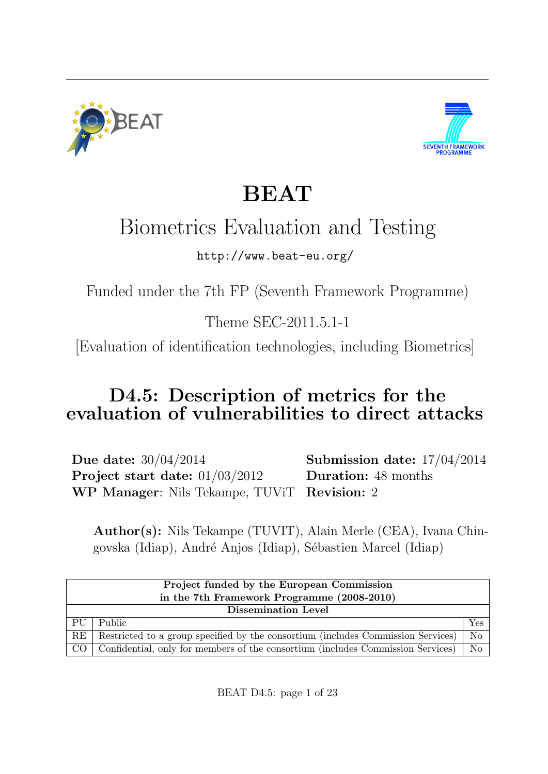



# BEAT

# Biometrics Evaluation and Testing

# http://www.beat-eu.org/

Funded under the 7th FP (Seventh Framework Programme)

Theme SEC-2011.5.1-1

[Evaluation of identification technologies, including Biometrics]

# D4.5: Description of metrics for the evaluation of vulnerabilities to direct attacks

**Due date:** 30/04/2014 **Submission date:** 17/04/2014 Project start date:  $01/03/2012$  Duration: 48 months WP Manager: Nils Tekampe, TUViT Revision: 2

Author(s): Nils Tekampe (TUVIT), Alain Merle (CEA), Ivana Chingovska (Idiap), André Anjos (Idiap), Sébastien Marcel (Idiap)

|                            | Project funded by the European Commission                                        |     |  |  |
|----------------------------|----------------------------------------------------------------------------------|-----|--|--|
|                            | in the 7th Framework Programme (2008-2010)                                       |     |  |  |
| <b>Dissemination Level</b> |                                                                                  |     |  |  |
| PU                         | Public                                                                           | Yes |  |  |
| RE                         | Restricted to a group specified by the consortium (includes Commission Services) | No  |  |  |
| CO                         | Confidential, only for members of the consortium (includes Commission Services)  | No  |  |  |

BEAT D4.5: page 1 of 23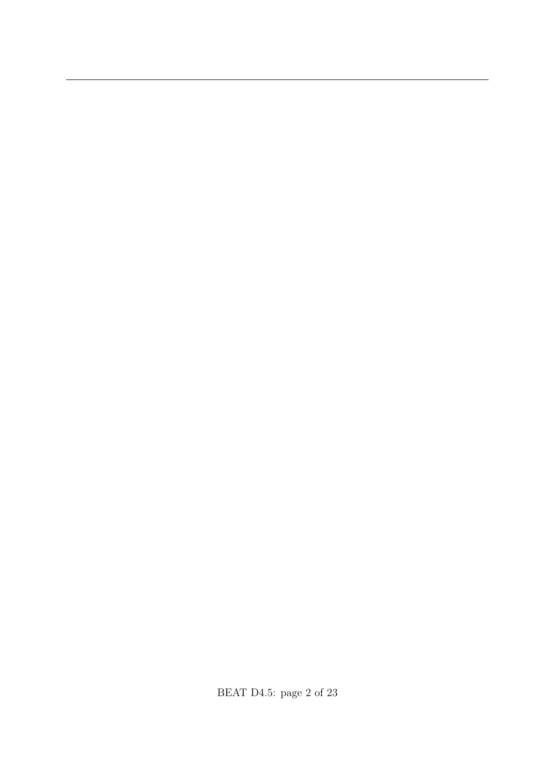BEAT D4.5: page 2 of 23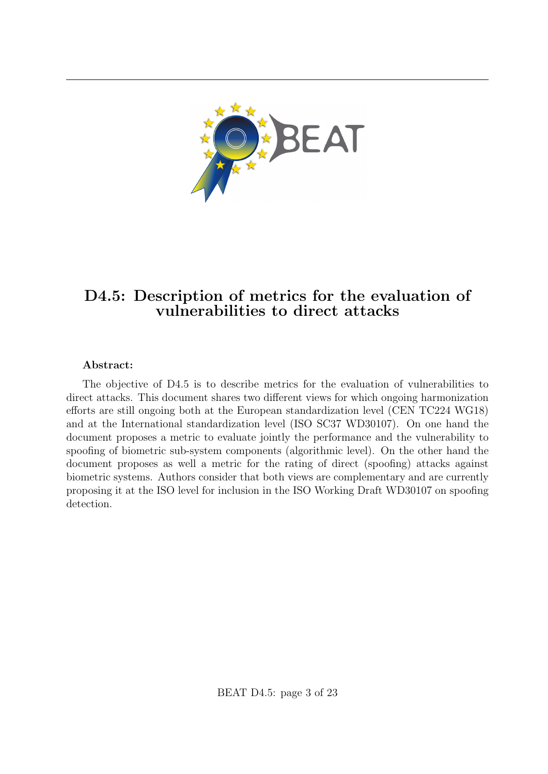

### D4.5: Description of metrics for the evaluation of vulnerabilities to direct attacks

#### Abstract:

The objective of D4.5 is to describe metrics for the evaluation of vulnerabilities to direct attacks. This document shares two different views for which ongoing harmonization efforts are still ongoing both at the European standardization level (CEN TC224 WG18) and at the International standardization level (ISO SC37 WD30107). On one hand the document proposes a metric to evaluate jointly the performance and the vulnerability to spoofing of biometric sub-system components (algorithmic level). On the other hand the document proposes as well a metric for the rating of direct (spoofing) attacks against biometric systems. Authors consider that both views are complementary and are currently proposing it at the ISO level for inclusion in the ISO Working Draft WD30107 on spoofing detection.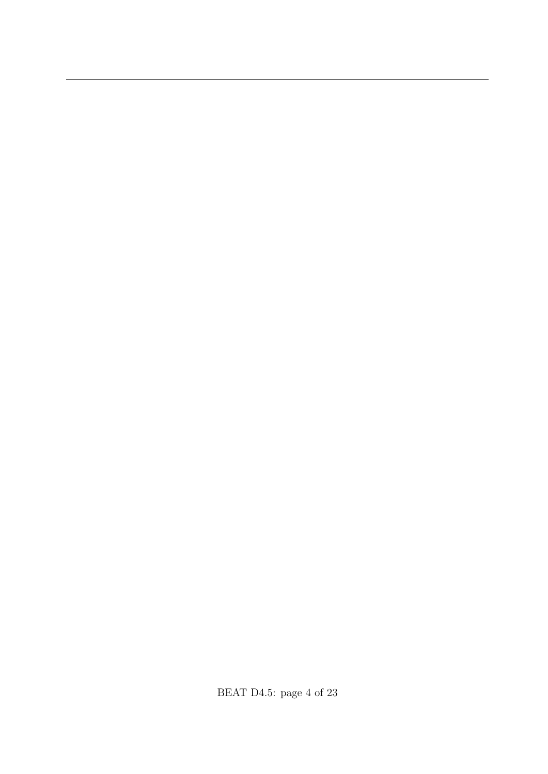BEAT D4.5: page 4 of 23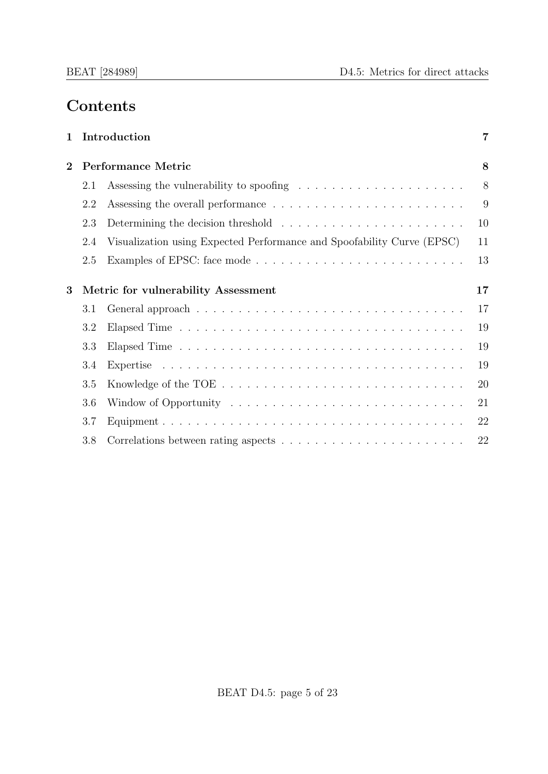# Contents

|                    |                                                                                                | 7                                                   |
|--------------------|------------------------------------------------------------------------------------------------|-----------------------------------------------------|
| Performance Metric |                                                                                                | 8                                                   |
| 2.1                |                                                                                                | 8                                                   |
| 2.2                |                                                                                                | 9                                                   |
| 2.3                |                                                                                                | 10                                                  |
| 2.4                | Visualization using Expected Performance and Spoofability Curve (EPSC)                         | 11                                                  |
| 2.5                |                                                                                                | 13                                                  |
|                    |                                                                                                | 17                                                  |
| 3.1                |                                                                                                | 17                                                  |
| 3.2                |                                                                                                | 19                                                  |
| 3.3                |                                                                                                | 19                                                  |
| 3.4                |                                                                                                | 19                                                  |
| 3.5                | Knowledge of the TOE $\dots \dots \dots \dots \dots \dots \dots \dots \dots \dots \dots \dots$ | 20                                                  |
| 3.6                | Window of Opportunity $\ldots \ldots \ldots \ldots \ldots \ldots \ldots \ldots \ldots$         | 21                                                  |
| 3.7                |                                                                                                | 22                                                  |
| 3.8                |                                                                                                | 22                                                  |
|                    |                                                                                                | Introduction<br>Metric for vulnerability Assessment |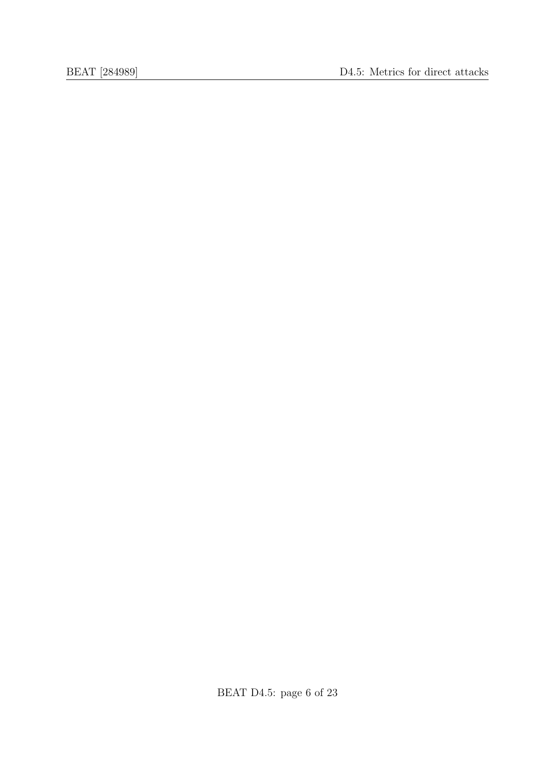BEAT D4.5: page 6 of 23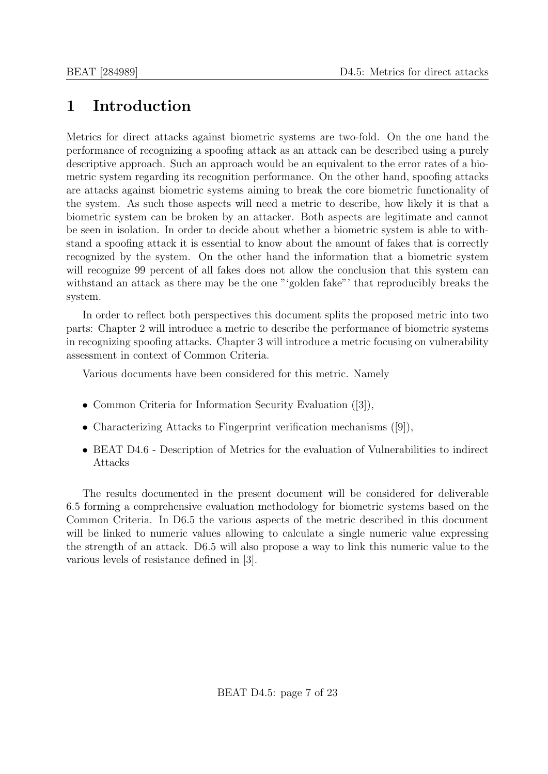## 1 Introduction

Metrics for direct attacks against biometric systems are two-fold. On the one hand the performance of recognizing a spoofing attack as an attack can be described using a purely descriptive approach. Such an approach would be an equivalent to the error rates of a biometric system regarding its recognition performance. On the other hand, spoofing attacks are attacks against biometric systems aiming to break the core biometric functionality of the system. As such those aspects will need a metric to describe, how likely it is that a biometric system can be broken by an attacker. Both aspects are legitimate and cannot be seen in isolation. In order to decide about whether a biometric system is able to withstand a spoofing attack it is essential to know about the amount of fakes that is correctly recognized by the system. On the other hand the information that a biometric system will recognize 99 percent of all fakes does not allow the conclusion that this system can withstand an attack as there may be the one "'golden fake"' that reproducibly breaks the system.

In order to reflect both perspectives this document splits the proposed metric into two parts: Chapter 2 will introduce a metric to describe the performance of biometric systems in recognizing spoofing attacks. Chapter 3 will introduce a metric focusing on vulnerability assessment in context of Common Criteria.

Various documents have been considered for this metric. Namely

- Common Criteria for Information Security Evaluation ([3]),
- Characterizing Attacks to Fingerprint verification mechanisms ([9]),
- BEAT D4.6 Description of Metrics for the evaluation of Vulnerabilities to indirect Attacks

The results documented in the present document will be considered for deliverable 6.5 forming a comprehensive evaluation methodology for biometric systems based on the Common Criteria. In D6.5 the various aspects of the metric described in this document will be linked to numeric values allowing to calculate a single numeric value expressing the strength of an attack. D6.5 will also propose a way to link this numeric value to the various levels of resistance defined in [3].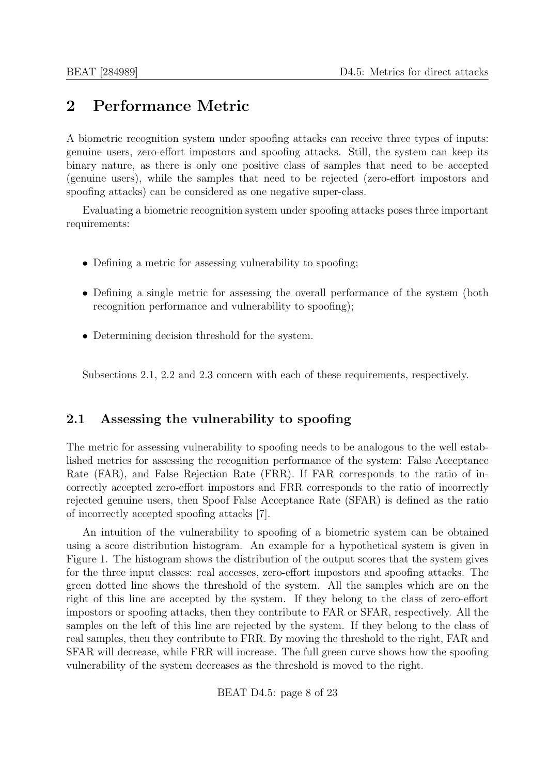## 2 Performance Metric

A biometric recognition system under spoofing attacks can receive three types of inputs: genuine users, zero-effort impostors and spoofing attacks. Still, the system can keep its binary nature, as there is only one positive class of samples that need to be accepted (genuine users), while the samples that need to be rejected (zero-effort impostors and spoofing attacks) can be considered as one negative super-class.

Evaluating a biometric recognition system under spoofing attacks poses three important requirements:

- Defining a metric for assessing vulnerability to spoofing;
- Defining a single metric for assessing the overall performance of the system (both recognition performance and vulnerability to spoofing);
- Determining decision threshold for the system.

Subsections 2.1, 2.2 and 2.3 concern with each of these requirements, respectively.

#### 2.1 Assessing the vulnerability to spoofing

The metric for assessing vulnerability to spoofing needs to be analogous to the well established metrics for assessing the recognition performance of the system: False Acceptance Rate (FAR), and False Rejection Rate (FRR). If FAR corresponds to the ratio of incorrectly accepted zero-effort impostors and FRR corresponds to the ratio of incorrectly rejected genuine users, then Spoof False Acceptance Rate (SFAR) is defined as the ratio of incorrectly accepted spoofing attacks [7].

An intuition of the vulnerability to spoofing of a biometric system can be obtained using a score distribution histogram. An example for a hypothetical system is given in Figure 1. The histogram shows the distribution of the output scores that the system gives for the three input classes: real accesses, zero-effort impostors and spoofing attacks. The green dotted line shows the threshold of the system. All the samples which are on the right of this line are accepted by the system. If they belong to the class of zero-effort impostors or spoofing attacks, then they contribute to FAR or SFAR, respectively. All the samples on the left of this line are rejected by the system. If they belong to the class of real samples, then they contribute to FRR. By moving the threshold to the right, FAR and SFAR will decrease, while FRR will increase. The full green curve shows how the spoofing vulnerability of the system decreases as the threshold is moved to the right.

BEAT D4.5: page 8 of 23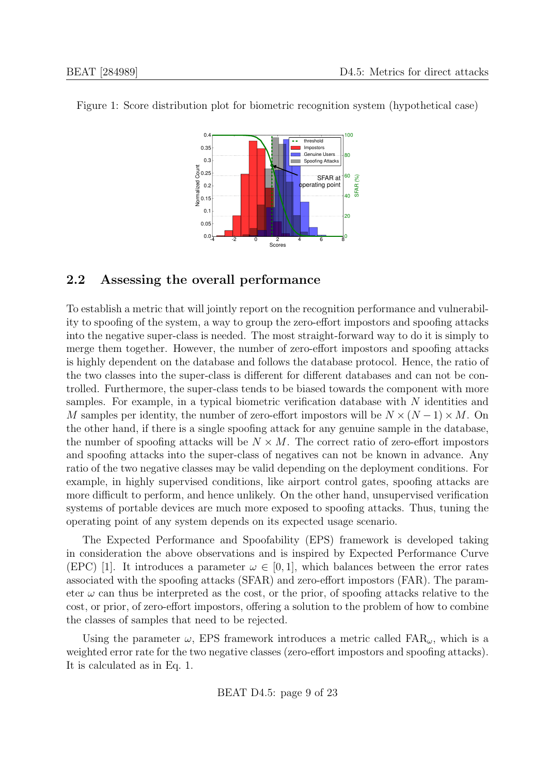

Figure 1: Score distribution plot for biometric recognition system (hypothetical case)

#### 2.2 Assessing the overall performance

To establish a metric that will jointly report on the recognition performance and vulnerability to spoofing of the system, a way to group the zero-effort impostors and spoofing attacks into the negative super-class is needed. The most straight-forward way to do it is simply to merge them together. However, the number of zero-effort impostors and spoofing attacks is highly dependent on the database and follows the database protocol. Hence, the ratio of the two classes into the super-class is different for different databases and can not be controlled. Furthermore, the super-class tends to be biased towards the component with more samples. For example, in a typical biometric verification database with  $N$  identities and M samples per identity, the number of zero-effort impostors will be  $N \times (N-1) \times M$ . On the other hand, if there is a single spoofing attack for any genuine sample in the database, the number of spoofing attacks will be  $N \times M$ . The correct ratio of zero-effort impostors and spoofing attacks into the super-class of negatives can not be known in advance. Any ratio of the two negative classes may be valid depending on the deployment conditions. For example, in highly supervised conditions, like airport control gates, spoofing attacks are more difficult to perform, and hence unlikely. On the other hand, unsupervised verification systems of portable devices are much more exposed to spoofing attacks. Thus, tuning the operating point of any system depends on its expected usage scenario.

The Expected Performance and Spoofability (EPS) framework is developed taking in consideration the above observations and is inspired by Expected Performance Curve (EPC) [1]. It introduces a parameter  $\omega \in [0,1]$ , which balances between the error rates associated with the spoofing attacks (SFAR) and zero-effort impostors (FAR). The parameter  $\omega$  can thus be interpreted as the cost, or the prior, of spoofing attacks relative to the cost, or prior, of zero-effort impostors, offering a solution to the problem of how to combine the classes of samples that need to be rejected.

Using the parameter  $\omega$ , EPS framework introduces a metric called  $FAR_{\omega}$ , which is a weighted error rate for the two negative classes (zero-effort impostors and spoofing attacks). It is calculated as in Eq. 1.

BEAT D4.5: page 9 of 23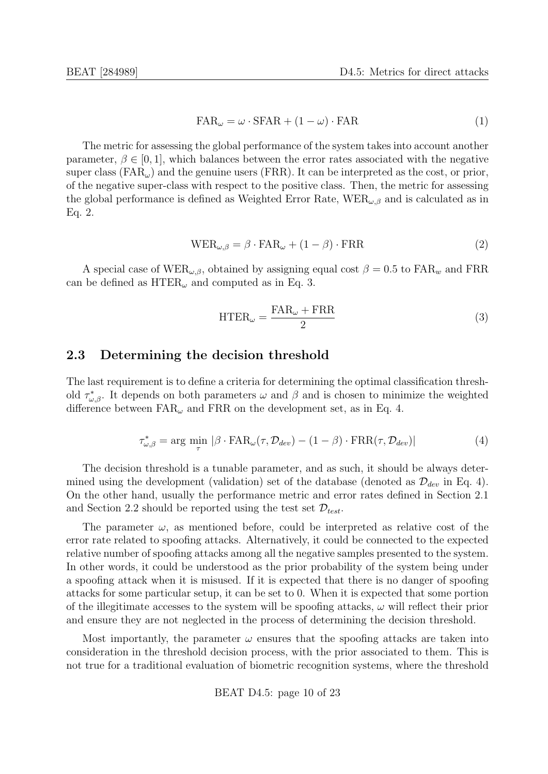$$
FAR_{\omega} = \omega \cdot \text{SFAR} + (1 - \omega) \cdot \text{FAR} \tag{1}
$$

The metric for assessing the global performance of the system takes into account another parameter,  $\beta \in [0, 1]$ , which balances between the error rates associated with the negative super class  $(FAR_\omega)$  and the genuine users (FRR). It can be interpreted as the cost, or prior, of the negative super-class with respect to the positive class. Then, the metric for assessing the global performance is defined as Weighted Error Rate,  $WER_{\omega,\beta}$  and is calculated as in Eq. 2.

$$
WER_{\omega,\beta} = \beta \cdot FAR_{\omega} + (1 - \beta) \cdot FRR
$$
 (2)

A special case of  $WER_{\omega,\beta}$ , obtained by assigning equal cost  $\beta = 0.5$  to  $FAR_w$  and  $FRR$ can be defined as  $HTER_{\omega}$  and computed as in Eq. 3.

$$
HTER_{\omega} = \frac{FAR_{\omega} + FRR}{2}
$$
 (3)

#### 2.3 Determining the decision threshold

The last requirement is to define a criteria for determining the optimal classification threshold  $\tau_{\omega,\beta}^*$ . It depends on both parameters  $\omega$  and  $\beta$  and is chosen to minimize the weighted difference between  $FAR_{\omega}$  and  $FRR$  on the development set, as in Eq. 4.

$$
\tau_{\omega,\beta}^* = \arg\min_{\tau} |\beta \cdot \text{FAR}_{\omega}(\tau, \mathcal{D}_{dev}) - (1 - \beta) \cdot \text{FRR}(\tau, \mathcal{D}_{dev})|
$$
(4)

The decision threshold is a tunable parameter, and as such, it should be always determined using the development (validation) set of the database (denoted as  $\mathcal{D}_{dev}$  in Eq. 4). On the other hand, usually the performance metric and error rates defined in Section 2.1 and Section 2.2 should be reported using the test set  $\mathcal{D}_{test}$ .

The parameter  $\omega$ , as mentioned before, could be interpreted as relative cost of the error rate related to spoofing attacks. Alternatively, it could be connected to the expected relative number of spoofing attacks among all the negative samples presented to the system. In other words, it could be understood as the prior probability of the system being under a spoofing attack when it is misused. If it is expected that there is no danger of spoofing attacks for some particular setup, it can be set to 0. When it is expected that some portion of the illegitimate accesses to the system will be spoofing attacks,  $\omega$  will reflect their prior and ensure they are not neglected in the process of determining the decision threshold.

Most importantly, the parameter  $\omega$  ensures that the spoofing attacks are taken into consideration in the threshold decision process, with the prior associated to them. This is not true for a traditional evaluation of biometric recognition systems, where the threshold

BEAT D4.5: page 10 of 23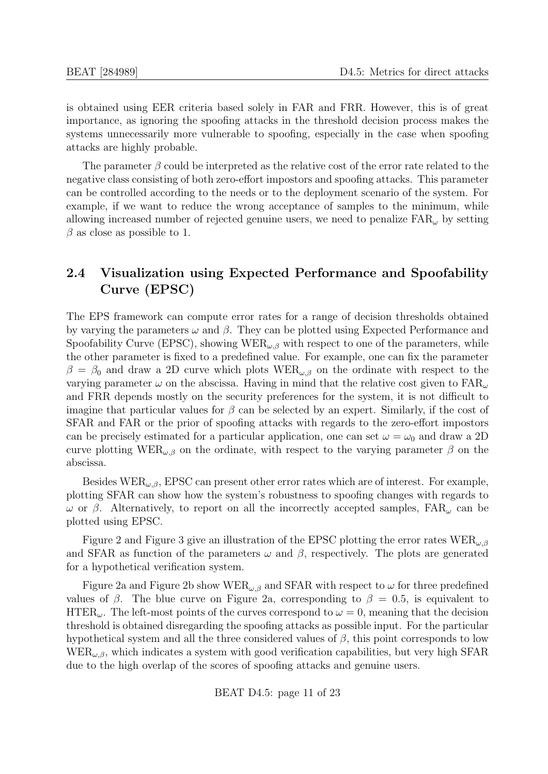is obtained using EER criteria based solely in FAR and FRR. However, this is of great importance, as ignoring the spoofing attacks in the threshold decision process makes the systems unnecessarily more vulnerable to spoofing, especially in the case when spoofing attacks are highly probable.

The parameter  $\beta$  could be interpreted as the relative cost of the error rate related to the negative class consisting of both zero-effort impostors and spoofing attacks. This parameter can be controlled according to the needs or to the deployment scenario of the system. For example, if we want to reduce the wrong acceptance of samples to the minimum, while allowing increased number of rejected genuine users, we need to penalize  $FAR_{\omega}$  by setting  $\beta$  as close as possible to 1.

#### 2.4 Visualization using Expected Performance and Spoofability Curve (EPSC)

The EPS framework can compute error rates for a range of decision thresholds obtained by varying the parameters  $\omega$  and  $\beta$ . They can be plotted using Expected Performance and Spoofability Curve (EPSC), showing  $WER_{\omega,\beta}$  with respect to one of the parameters, while the other parameter is fixed to a predefined value. For example, one can fix the parameter  $\beta = \beta_0$  and draw a 2D curve which plots  $WER_{\omega,\beta}$  on the ordinate with respect to the varying parameter  $\omega$  on the abscissa. Having in mind that the relative cost given to  $FAR_{\omega}$ and FRR depends mostly on the security preferences for the system, it is not difficult to imagine that particular values for  $\beta$  can be selected by an expert. Similarly, if the cost of SFAR and FAR or the prior of spoofing attacks with regards to the zero-effort impostors can be precisely estimated for a particular application, one can set  $\omega = \omega_0$  and draw a 2D curve plotting  $WER_{\omega,\beta}$  on the ordinate, with respect to the varying parameter  $\beta$  on the abscissa.

Besides  $WER_{\omega,\beta}$ , EPSC can present other error rates which are of interest. For example, plotting SFAR can show how the system's robustness to spoofing changes with regards to  $ω$  or β. Alternatively, to report on all the incorrectly accepted samples,  $FAR<sub>ω</sub>$  can be plotted using EPSC.

Figure 2 and Figure 3 give an illustration of the EPSC plotting the error rates  $WER_{\omega,\beta}$ and SFAR as function of the parameters  $\omega$  and  $\beta$ , respectively. The plots are generated for a hypothetical verification system.

Figure 2a and Figure 2b show  $WER_{\omega,\beta}$  and SFAR with respect to  $\omega$  for three predefined values of  $\beta$ . The blue curve on Figure 2a, corresponding to  $\beta = 0.5$ , is equivalent to HTER<sub> $\omega$ </sub>. The left-most points of the curves correspond to  $\omega = 0$ , meaning that the decision threshold is obtained disregarding the spoofing attacks as possible input. For the particular hypothetical system and all the three considered values of  $\beta$ , this point corresponds to low  $WER_{\omega,\beta}$ , which indicates a system with good verification capabilities, but very high SFAR due to the high overlap of the scores of spoofing attacks and genuine users.

BEAT D4.5: page 11 of 23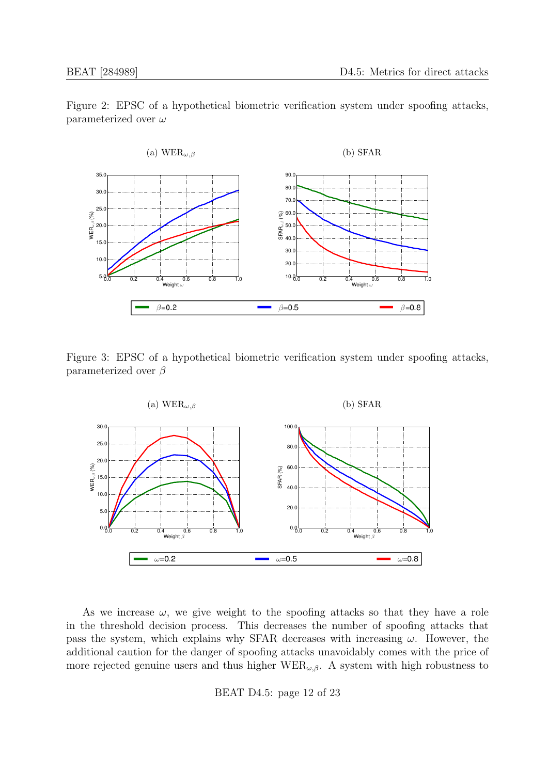Figure 2: EPSC of a hypothetical biometric verification system under spoofing attacks, parameterized over  $\omega$ 



Figure 3: EPSC of a hypothetical biometric verification system under spoofing attacks, parameterized over  $\beta$ 



As we increase  $\omega$ , we give weight to the spoofing attacks so that they have a role in the threshold decision process. This decreases the number of spoofing attacks that pass the system, which explains why SFAR decreases with increasing  $\omega$ . However, the additional caution for the danger of spoofing attacks unavoidably comes with the price of more rejected genuine users and thus higher  $WER_{\omega,\beta}$ . A system with high robustness to

BEAT D4.5: page 12 of 23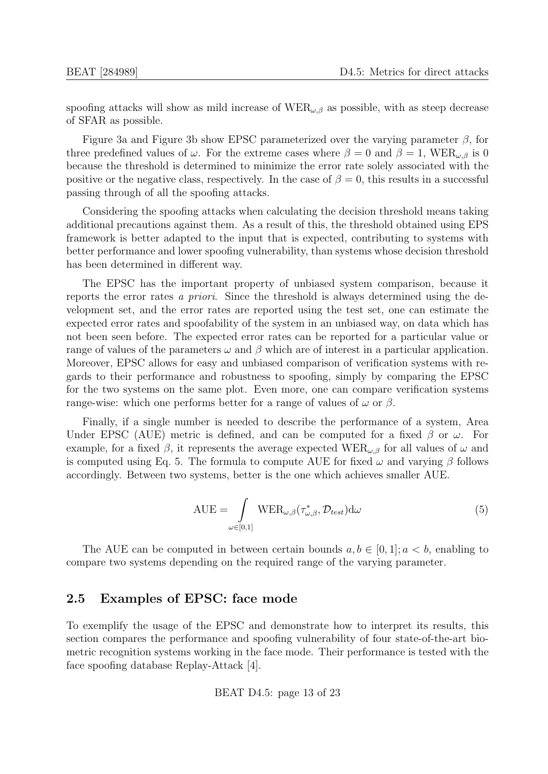spoofing attacks will show as mild increase of  $WER_{\omega,\beta}$  as possible, with as steep decrease of SFAR as possible.

Figure 3a and Figure 3b show EPSC parameterized over the varying parameter  $\beta$ , for three predefined values of  $\omega$ . For the extreme cases where  $\beta = 0$  and  $\beta = 1$ , WER<sub> $\omega, \beta$ </sub> is 0 because the threshold is determined to minimize the error rate solely associated with the positive or the negative class, respectively. In the case of  $\beta = 0$ , this results in a successful passing through of all the spoofing attacks.

Considering the spoofing attacks when calculating the decision threshold means taking additional precautions against them. As a result of this, the threshold obtained using EPS framework is better adapted to the input that is expected, contributing to systems with better performance and lower spoofing vulnerability, than systems whose decision threshold has been determined in different way.

The EPSC has the important property of unbiased system comparison, because it reports the error rates a priori. Since the threshold is always determined using the development set, and the error rates are reported using the test set, one can estimate the expected error rates and spoofability of the system in an unbiased way, on data which has not been seen before. The expected error rates can be reported for a particular value or range of values of the parameters  $\omega$  and  $\beta$  which are of interest in a particular application. Moreover, EPSC allows for easy and unbiased comparison of verification systems with regards to their performance and robustness to spoofing, simply by comparing the EPSC for the two systems on the same plot. Even more, one can compare verification systems range-wise: which one performs better for a range of values of  $\omega$  or  $\beta$ .

Finally, if a single number is needed to describe the performance of a system, Area Under EPSC (AUE) metric is defined, and can be computed for a fixed  $\beta$  or  $\omega$ . For example, for a fixed  $\beta$ , it represents the average expected WER<sub> $\omega$ ,β</sub> for all values of  $\omega$  and is computed using Eq. 5. The formula to compute AUE for fixed  $\omega$  and varying  $\beta$  follows accordingly. Between two systems, better is the one which achieves smaller AUE.

$$
AUE = \int_{\omega \in [0,1]} WER_{\omega,\beta}(\tau_{\omega,\beta}^*, \mathcal{D}_{test}) d\omega
$$
 (5)

The AUE can be computed in between certain bounds  $a, b \in [0, 1], a < b$ , enabling to compare two systems depending on the required range of the varying parameter.

#### 2.5 Examples of EPSC: face mode

To exemplify the usage of the EPSC and demonstrate how to interpret its results, this section compares the performance and spoofing vulnerability of four state-of-the-art biometric recognition systems working in the face mode. Their performance is tested with the face spoofing database Replay-Attack [4].

BEAT D4.5: page 13 of 23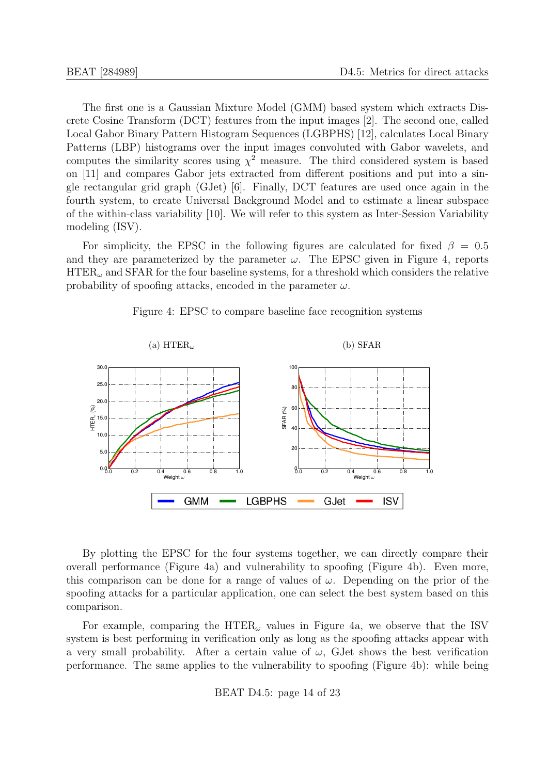The first one is a Gaussian Mixture Model (GMM) based system which extracts Discrete Cosine Transform (DCT) features from the input images [2]. The second one, called Local Gabor Binary Pattern Histogram Sequences (LGBPHS) [12], calculates Local Binary Patterns (LBP) histograms over the input images convoluted with Gabor wavelets, and computes the similarity scores using  $\chi^2$  measure. The third considered system is based on [11] and compares Gabor jets extracted from different positions and put into a single rectangular grid graph (GJet) [6]. Finally, DCT features are used once again in the fourth system, to create Universal Background Model and to estimate a linear subspace of the within-class variability [10]. We will refer to this system as Inter-Session Variability modeling (ISV).

For simplicity, the EPSC in the following figures are calculated for fixed  $\beta = 0.5$ and they are parameterized by the parameter  $\omega$ . The EPSC given in Figure 4, reports  $HTER_{\omega}$  and SFAR for the four baseline systems, for a threshold which considers the relative probability of spoofing attacks, encoded in the parameter  $\omega$ .





By plotting the EPSC for the four systems together, we can directly compare their overall performance (Figure 4a) and vulnerability to spoofing (Figure 4b). Even more, this comparison can be done for a range of values of  $\omega$ . Depending on the prior of the spoofing attacks for a particular application, one can select the best system based on this comparison.

For example, comparing the  $HTER_{\omega}$  values in Figure 4a, we observe that the ISV system is best performing in verification only as long as the spoofing attacks appear with a very small probability. After a certain value of  $\omega$ . GJet shows the best verification performance. The same applies to the vulnerability to spoofing (Figure 4b): while being

BEAT D4.5: page 14 of 23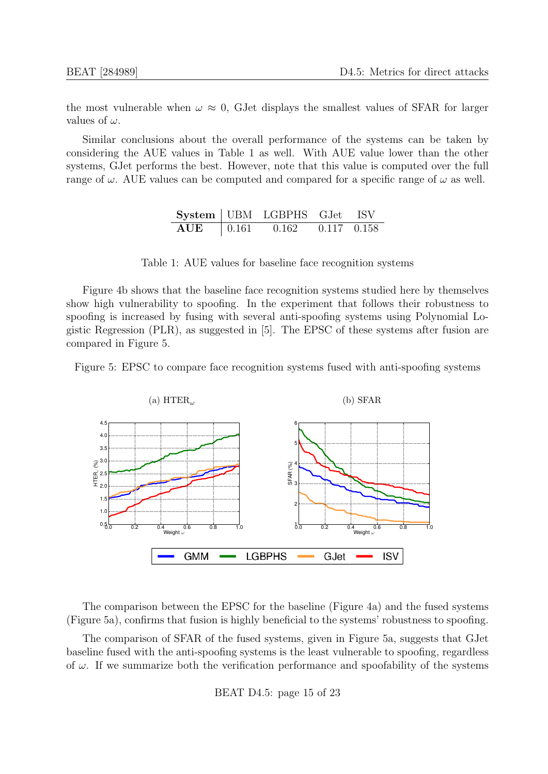the most vulnerable when  $\omega \approx 0$ . GJet displays the smallest values of SFAR for larger values of  $\omega$ .

Similar conclusions about the overall performance of the systems can be taken by considering the AUE values in Table 1 as well. With AUE value lower than the other systems, GJet performs the best. However, note that this value is computed over the full range of  $\omega$ . AUE values can be computed and compared for a specific range of  $\omega$  as well.

|     |              | System   UBM LGBPHS GJet ISV |             |  |
|-----|--------------|------------------------------|-------------|--|
| AUE | $\mid$ 0.161 | 0.162                        | 0.117 0.158 |  |



Figure 4b shows that the baseline face recognition systems studied here by themselves show high vulnerability to spoofing. In the experiment that follows their robustness to spoofing is increased by fusing with several anti-spoofing systems using Polynomial Logistic Regression (PLR), as suggested in [5]. The EPSC of these systems after fusion are compared in Figure 5.

Figure 5: EPSC to compare face recognition systems fused with anti-spoofing systems



The comparison between the EPSC for the baseline (Figure 4a) and the fused systems (Figure 5a), confirms that fusion is highly beneficial to the systems' robustness to spoofing.

The comparison of SFAR of the fused systems, given in Figure 5a, suggests that GJet baseline fused with the anti-spoofing systems is the least vulnerable to spoofing, regardless of  $\omega$ . If we summarize both the verification performance and spoofability of the systems

BEAT D4.5: page 15 of 23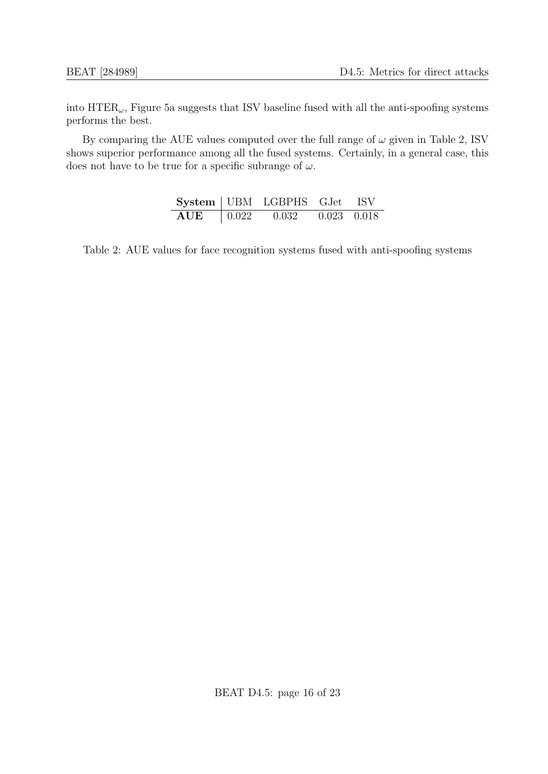into  $\text{HTER}_{\omega}$ , Figure 5a suggests that ISV baseline fused with all the anti-spoofing systems performs the best.

By comparing the AUE values computed over the full range of  $\omega$  given in Table 2, ISV shows superior performance among all the fused systems. Certainly, in a general case, this does not have to be true for a specific subrange of  $\omega$ .

|     |              | System UBM LGBPHS GJet |             | - ISV |
|-----|--------------|------------------------|-------------|-------|
| AUE | $\mid$ 0.022 | 0.032                  | 0.023 0.018 |       |

Table 2: AUE values for face recognition systems fused with anti-spoofing systems

BEAT D4.5: page 16 of 23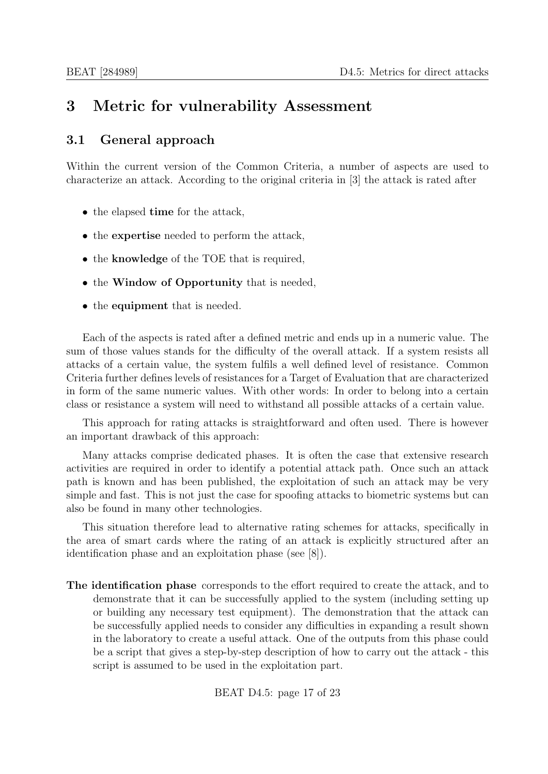### 3 Metric for vulnerability Assessment

#### 3.1 General approach

Within the current version of the Common Criteria, a number of aspects are used to characterize an attack. According to the original criteria in [3] the attack is rated after

- the elapsed **time** for the attack,
- the expertise needed to perform the attack,
- the knowledge of the TOE that is required,
- the Window of Opportunity that is needed,
- the equipment that is needed.

Each of the aspects is rated after a defined metric and ends up in a numeric value. The sum of those values stands for the difficulty of the overall attack. If a system resists all attacks of a certain value, the system fulfils a well defined level of resistance. Common Criteria further defines levels of resistances for a Target of Evaluation that are characterized in form of the same numeric values. With other words: In order to belong into a certain class or resistance a system will need to withstand all possible attacks of a certain value.

This approach for rating attacks is straightforward and often used. There is however an important drawback of this approach:

Many attacks comprise dedicated phases. It is often the case that extensive research activities are required in order to identify a potential attack path. Once such an attack path is known and has been published, the exploitation of such an attack may be very simple and fast. This is not just the case for spoofing attacks to biometric systems but can also be found in many other technologies.

This situation therefore lead to alternative rating schemes for attacks, specifically in the area of smart cards where the rating of an attack is explicitly structured after an identification phase and an exploitation phase (see [8]).

The identification phase corresponds to the effort required to create the attack, and to demonstrate that it can be successfully applied to the system (including setting up or building any necessary test equipment). The demonstration that the attack can be successfully applied needs to consider any difficulties in expanding a result shown in the laboratory to create a useful attack. One of the outputs from this phase could be a script that gives a step-by-step description of how to carry out the attack - this script is assumed to be used in the exploitation part.

#### BEAT D4.5: page 17 of 23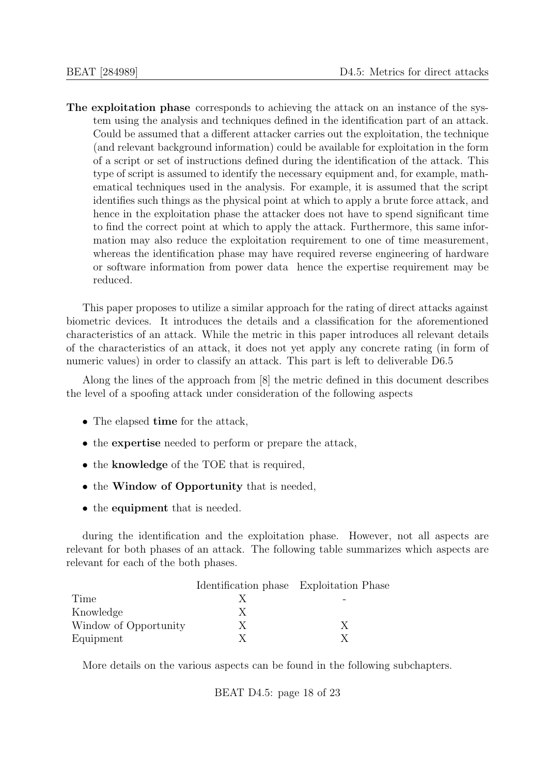The exploitation phase corresponds to achieving the attack on an instance of the system using the analysis and techniques defined in the identification part of an attack. Could be assumed that a different attacker carries out the exploitation, the technique (and relevant background information) could be available for exploitation in the form of a script or set of instructions defined during the identification of the attack. This type of script is assumed to identify the necessary equipment and, for example, mathematical techniques used in the analysis. For example, it is assumed that the script identifies such things as the physical point at which to apply a brute force attack, and hence in the exploitation phase the attacker does not have to spend significant time to find the correct point at which to apply the attack. Furthermore, this same information may also reduce the exploitation requirement to one of time measurement, whereas the identification phase may have required reverse engineering of hardware or software information from power data hence the expertise requirement may be reduced.

This paper proposes to utilize a similar approach for the rating of direct attacks against biometric devices. It introduces the details and a classification for the aforementioned characteristics of an attack. While the metric in this paper introduces all relevant details of the characteristics of an attack, it does not yet apply any concrete rating (in form of numeric values) in order to classify an attack. This part is left to deliverable D6.5

Along the lines of the approach from [8] the metric defined in this document describes the level of a spoofing attack under consideration of the following aspects

- The elapsed **time** for the attack,
- the **expertise** needed to perform or prepare the attack,
- the knowledge of the TOE that is required,
- the Window of Opportunity that is needed,
- the equipment that is needed.

during the identification and the exploitation phase. However, not all aspects are relevant for both phases of an attack. The following table summarizes which aspects are relevant for each of the both phases.

|                       | Identification phase Exploitation Phase |  |
|-----------------------|-----------------------------------------|--|
| Time                  |                                         |  |
| Knowledge             | X                                       |  |
| Window of Opportunity |                                         |  |
| Equipment             |                                         |  |

More details on the various aspects can be found in the following subchapters.

BEAT D4.5: page 18 of 23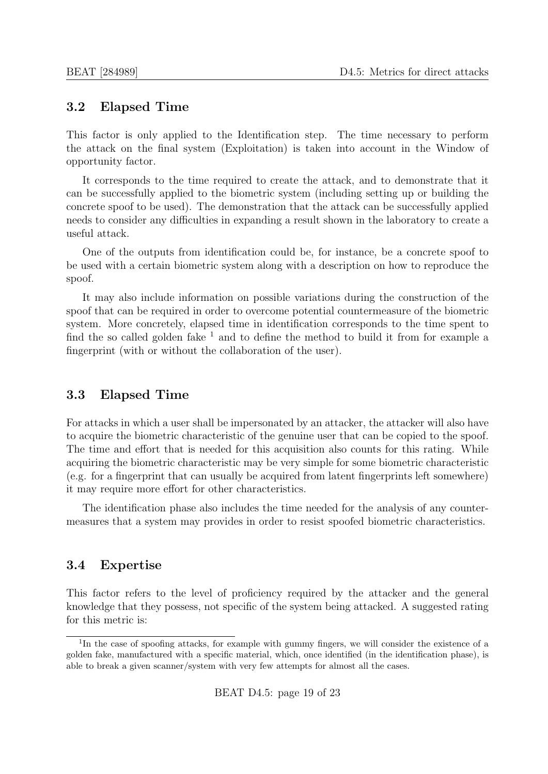#### 3.2 Elapsed Time

This factor is only applied to the Identification step. The time necessary to perform the attack on the final system (Exploitation) is taken into account in the Window of opportunity factor.

It corresponds to the time required to create the attack, and to demonstrate that it can be successfully applied to the biometric system (including setting up or building the concrete spoof to be used). The demonstration that the attack can be successfully applied needs to consider any difficulties in expanding a result shown in the laboratory to create a useful attack.

One of the outputs from identification could be, for instance, be a concrete spoof to be used with a certain biometric system along with a description on how to reproduce the spoof.

It may also include information on possible variations during the construction of the spoof that can be required in order to overcome potential countermeasure of the biometric system. More concretely, elapsed time in identification corresponds to the time spent to find the so called golden fake  $<sup>1</sup>$  and to define the method to build it from for example a</sup> fingerprint (with or without the collaboration of the user).

#### 3.3 Elapsed Time

For attacks in which a user shall be impersonated by an attacker, the attacker will also have to acquire the biometric characteristic of the genuine user that can be copied to the spoof. The time and effort that is needed for this acquisition also counts for this rating. While acquiring the biometric characteristic may be very simple for some biometric characteristic (e.g. for a fingerprint that can usually be acquired from latent fingerprints left somewhere) it may require more effort for other characteristics.

The identification phase also includes the time needed for the analysis of any countermeasures that a system may provides in order to resist spoofed biometric characteristics.

#### 3.4 Expertise

This factor refers to the level of proficiency required by the attacker and the general knowledge that they possess, not specific of the system being attacked. A suggested rating for this metric is:

<sup>&</sup>lt;sup>1</sup>In the case of spoofing attacks, for example with gummy fingers, we will consider the existence of a golden fake, manufactured with a specific material, which, once identified (in the identification phase), is able to break a given scanner/system with very few attempts for almost all the cases.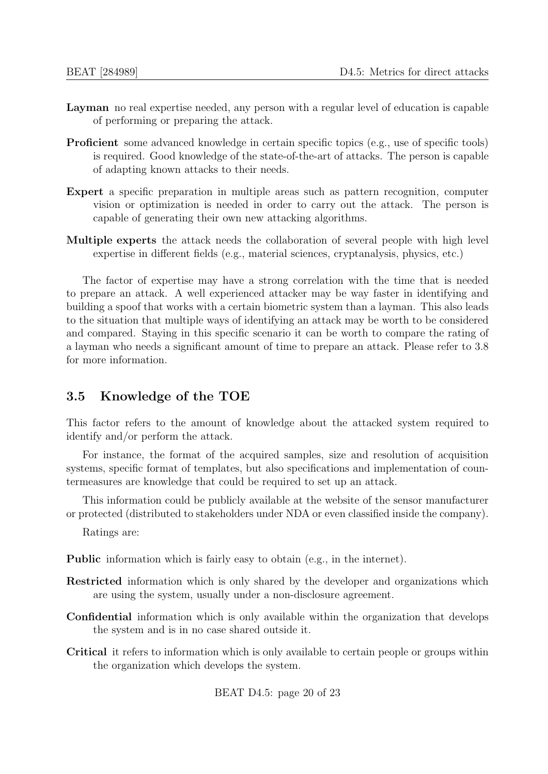- Layman no real expertise needed, any person with a regular level of education is capable of performing or preparing the attack.
- **Proficient** some advanced knowledge in certain specific topics (e.g., use of specific tools) is required. Good knowledge of the state-of-the-art of attacks. The person is capable of adapting known attacks to their needs.
- Expert a specific preparation in multiple areas such as pattern recognition, computer vision or optimization is needed in order to carry out the attack. The person is capable of generating their own new attacking algorithms.
- Multiple experts the attack needs the collaboration of several people with high level expertise in different fields (e.g., material sciences, cryptanalysis, physics, etc.)

The factor of expertise may have a strong correlation with the time that is needed to prepare an attack. A well experienced attacker may be way faster in identifying and building a spoof that works with a certain biometric system than a layman. This also leads to the situation that multiple ways of identifying an attack may be worth to be considered and compared. Staying in this specific scenario it can be worth to compare the rating of a layman who needs a significant amount of time to prepare an attack. Please refer to 3.8 for more information.

#### 3.5 Knowledge of the TOE

This factor refers to the amount of knowledge about the attacked system required to identify and/or perform the attack.

For instance, the format of the acquired samples, size and resolution of acquisition systems, specific format of templates, but also specifications and implementation of countermeasures are knowledge that could be required to set up an attack.

This information could be publicly available at the website of the sensor manufacturer or protected (distributed to stakeholders under NDA or even classified inside the company).

Ratings are:

Public information which is fairly easy to obtain (e.g., in the internet).

- Restricted information which is only shared by the developer and organizations which are using the system, usually under a non-disclosure agreement.
- Confidential information which is only available within the organization that develops the system and is in no case shared outside it.
- Critical it refers to information which is only available to certain people or groups within the organization which develops the system.

BEAT D4.5: page 20 of 23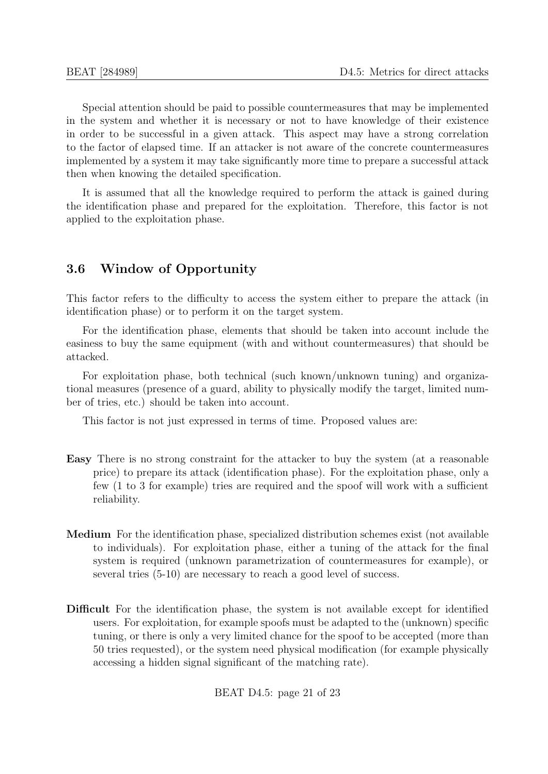Special attention should be paid to possible countermeasures that may be implemented in the system and whether it is necessary or not to have knowledge of their existence in order to be successful in a given attack. This aspect may have a strong correlation to the factor of elapsed time. If an attacker is not aware of the concrete countermeasures implemented by a system it may take significantly more time to prepare a successful attack then when knowing the detailed specification.

It is assumed that all the knowledge required to perform the attack is gained during the identification phase and prepared for the exploitation. Therefore, this factor is not applied to the exploitation phase.

#### 3.6 Window of Opportunity

This factor refers to the difficulty to access the system either to prepare the attack (in identification phase) or to perform it on the target system.

For the identification phase, elements that should be taken into account include the easiness to buy the same equipment (with and without countermeasures) that should be attacked.

For exploitation phase, both technical (such known/unknown tuning) and organizational measures (presence of a guard, ability to physically modify the target, limited number of tries, etc.) should be taken into account.

This factor is not just expressed in terms of time. Proposed values are:

- Easy There is no strong constraint for the attacker to buy the system (at a reasonable price) to prepare its attack (identification phase). For the exploitation phase, only a few (1 to 3 for example) tries are required and the spoof will work with a sufficient reliability.
- Medium For the identification phase, specialized distribution schemes exist (not available to individuals). For exploitation phase, either a tuning of the attack for the final system is required (unknown parametrization of countermeasures for example), or several tries (5-10) are necessary to reach a good level of success.
- Difficult For the identification phase, the system is not available except for identified users. For exploitation, for example spoofs must be adapted to the (unknown) specific tuning, or there is only a very limited chance for the spoof to be accepted (more than 50 tries requested), or the system need physical modification (for example physically accessing a hidden signal significant of the matching rate).

BEAT D4.5: page 21 of 23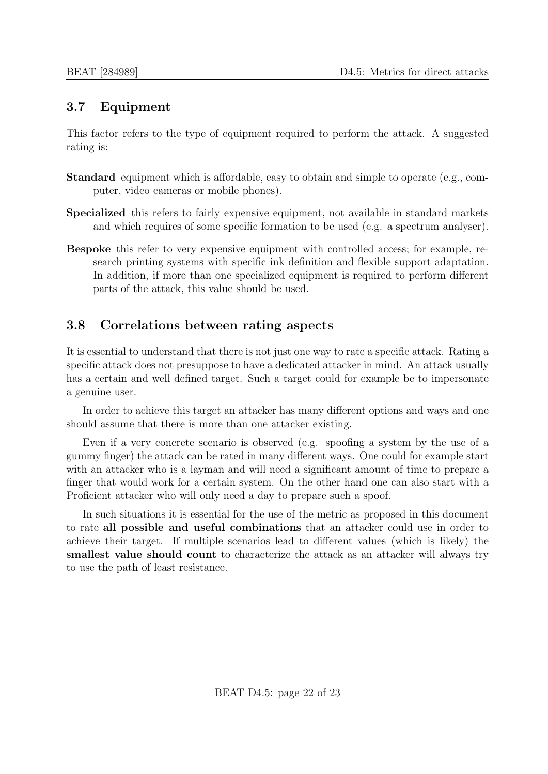#### 3.7 Equipment

This factor refers to the type of equipment required to perform the attack. A suggested rating is:

- Standard equipment which is affordable, easy to obtain and simple to operate (e.g., computer, video cameras or mobile phones).
- Specialized this refers to fairly expensive equipment, not available in standard markets and which requires of some specific formation to be used (e.g. a spectrum analyser).
- Bespoke this refer to very expensive equipment with controlled access; for example, research printing systems with specific ink definition and flexible support adaptation. In addition, if more than one specialized equipment is required to perform different parts of the attack, this value should be used.

#### 3.8 Correlations between rating aspects

It is essential to understand that there is not just one way to rate a specific attack. Rating a specific attack does not presuppose to have a dedicated attacker in mind. An attack usually has a certain and well defined target. Such a target could for example be to impersonate a genuine user.

In order to achieve this target an attacker has many different options and ways and one should assume that there is more than one attacker existing.

Even if a very concrete scenario is observed (e.g. spoofing a system by the use of a gummy finger) the attack can be rated in many different ways. One could for example start with an attacker who is a layman and will need a significant amount of time to prepare a finger that would work for a certain system. On the other hand one can also start with a Proficient attacker who will only need a day to prepare such a spoof.

In such situations it is essential for the use of the metric as proposed in this document to rate all possible and useful combinations that an attacker could use in order to achieve their target. If multiple scenarios lead to different values (which is likely) the smallest value should count to characterize the attack as an attacker will always try to use the path of least resistance.